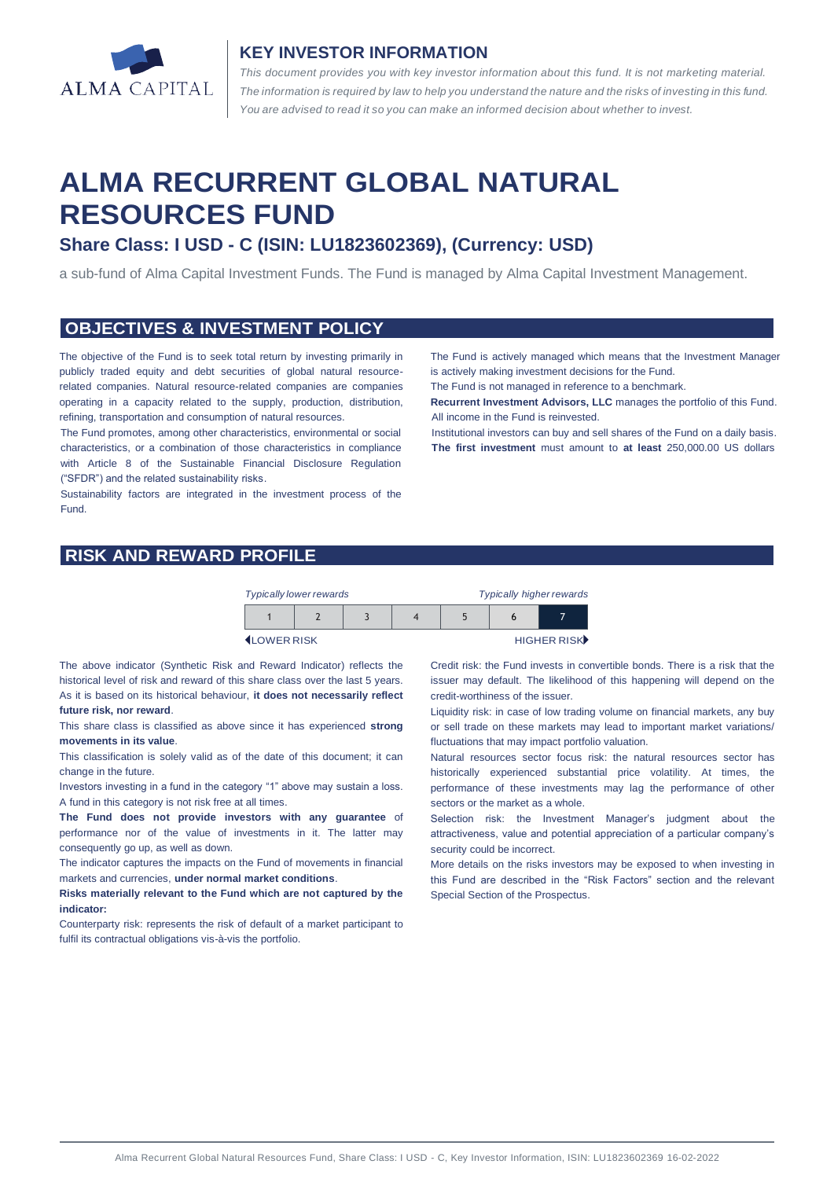

#### **KEY INVESTOR INFORMATION**

*This document provides you with key investor information about this fund. It is not marketing material.*  The information is required by law to help you understand the nature and the risks of investing in this fund. *You are advised to read it so you can make an informed decision about whether to invest.*

# **ALMA RECURRENT GLOBAL NATURAL RESOURCES FUND**

# **Share Class: I USD - C (ISIN: LU1823602369), (Currency: USD)**

a sub-fund of Alma Capital Investment Funds. The Fund is managed by Alma Capital Investment Management.

#### **OBJECTIVES & INVESTMENT POLICY**

The objective of the Fund is to seek total return by investing primarily in publicly traded equity and debt securities of global natural resourcerelated companies. Natural resource-related companies are companies operating in a capacity related to the supply, production, distribution, refining, transportation and consumption of natural resources.

The Fund promotes, among other characteristics, environmental or social characteristics, or a combination of those characteristics in compliance with Article 8 of the Sustainable Financial Disclosure Regulation ("SFDR") and the related sustainability risks.

Sustainability factors are integrated in the investment process of the Fund.

The Fund is actively managed which means that the Investment Manager is actively making investment decisions for the Fund.

The Fund is not managed in reference to a benchmark.

**Recurrent Investment Advisors, LLC** manages the portfolio of this Fund. All income in the Fund is reinvested.

Institutional investors can buy and sell shares of the Fund on a daily basis. **The first investment** must amount to **at least** 250,000.00 US dollars

### **RISK AND REWARD PROFILE**

| <b>Typically higher rewards</b><br><b>Typically lower rewards</b> |  |  |  |  |  |             |
|-------------------------------------------------------------------|--|--|--|--|--|-------------|
|                                                                   |  |  |  |  |  |             |
| <b>ILOWER RISK</b>                                                |  |  |  |  |  | HIGHER RISK |

The above indicator (Synthetic Risk and Reward Indicator) reflects the historical level of risk and reward of this share class over the last 5 years. As it is based on its historical behaviour, **it does not necessarily reflect future risk, nor reward**.

This share class is classified as above since it has experienced **strong movements in its value**.

This classification is solely valid as of the date of this document; it can change in the future.

Investors investing in a fund in the category "1" above may sustain a loss. A fund in this category is not risk free at all times.

**The Fund does not provide investors with any guarantee** of performance nor of the value of investments in it. The latter may consequently go up, as well as down.

The indicator captures the impacts on the Fund of movements in financial markets and currencies, **under normal market conditions**.

**Risks materially relevant to the Fund which are not captured by the indicator:**

Counterparty risk: represents the risk of default of a market participant to fulfil its contractual obligations vis-à-vis the portfolio.

Credit risk: the Fund invests in convertible bonds. There is a risk that the issuer may default. The likelihood of this happening will depend on the credit-worthiness of the issuer.

Liquidity risk: in case of low trading volume on financial markets, any buy or sell trade on these markets may lead to important market variations/ fluctuations that may impact portfolio valuation.

Natural resources sector focus risk: the natural resources sector has historically experienced substantial price volatility. At times, the performance of these investments may lag the performance of other sectors or the market as a whole.

Selection risk: the Investment Manager's judgment about the attractiveness, value and potential appreciation of a particular company's security could be incorrect.

More details on the risks investors may be exposed to when investing in this Fund are described in the "Risk Factors" section and the relevant Special Section of the Prospectus.